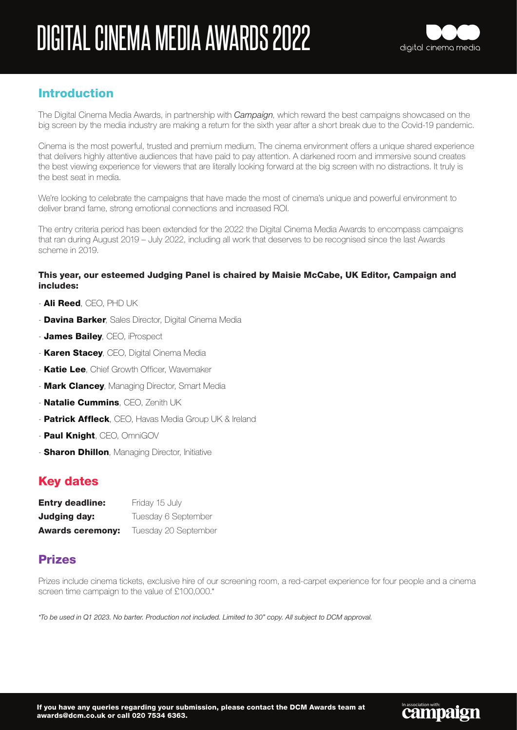

**Campaign** 

### Introduction

The Digital Cinema Media Awards, in partnership with *Campaign*, which reward the best campaigns showcased on the big screen by the media industry are making a return for the sixth year after a short break due to the Covid-19 pandemic.

Cinema is the most powerful, trusted and premium medium. The cinema environment offers a unique shared experience that delivers highly attentive audiences that have paid to pay attention. A darkened room and immersive sound creates the best viewing experience for viewers that are literally looking forward at the big screen with no distractions. It truly is the best seat in media.

We're looking to celebrate the campaigns that have made the most of cinema's unique and powerful environment to deliver brand fame, strong emotional connections and increased ROI.

The entry criteria period has been extended for the 2022 the Digital Cinema Media Awards to encompass campaigns that ran during August 2019 – July 2022, including all work that deserves to be recognised since the last Awards scheme in 2019.

#### This year, our esteemed Judging Panel is chaired by Maisie McCabe, UK Editor, Campaign and includes:

- Ali Reed, CEO, PHD UK
- **Davina Barker**, Sales Director, Digital Cinema Media
- James Bailey, CEO, iProspect
- **Karen Stacey**, CEO, Digital Cinema Media
- **Katie Lee**, Chief Growth Officer, Wavemaker
- **Mark Clancey**, Managing Director, Smart Media
- Natalie Cummins, CEO, Zenith UK
- Patrick Affleck, CEO, Havas Media Group UK & Ireland
- Paul Knight, CEO, OmniGOV
- **Sharon Dhillon**, Managing Director, Initiative

### Key dates

| <b>Entry deadline:</b>  | Friday 15 July       |
|-------------------------|----------------------|
| Judging day:            | Tuesday 6 September  |
| <b>Awards ceremony:</b> | Tuesday 20 September |

### Prizes

Prizes include cinema tickets, exclusive hire of our screening room, a red-carpet experience for four people and a cinema screen time campaign to the value of £100,000.\*

*\*To be used in Q1 2023. No barter. Production not included. Limited to 30" copy. All subject to DCM approval.*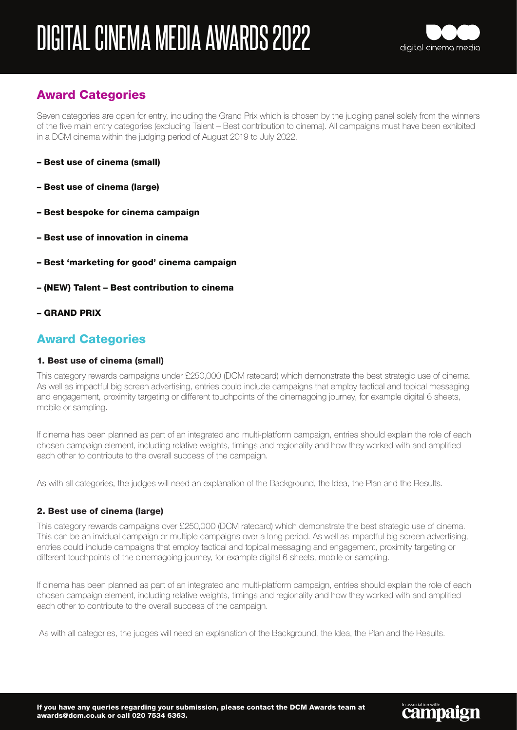

## Award Categories

Seven categories are open for entry, including the Grand Prix which is chosen by the judging panel solely from the winners of the five main entry categories (excluding Talent – Best contribution to cinema). All campaigns must have been exhibited in a DCM cinema within the judging period of August 2019 to July 2022.

- Best use of cinema (small)
- Best use of cinema (large)
- Best bespoke for cinema campaign
- Best use of innovation in cinema
- Best 'marketing for good' cinema campaign
- (NEW) Talent Best contribution to cinema
- GRAND PRIX

### Award Categories

#### 1. Best use of cinema (small)

This category rewards campaigns under £250,000 (DCM ratecard) which demonstrate the best strategic use of cinema. As well as impactful big screen advertising, entries could include campaigns that employ tactical and topical messaging and engagement, proximity targeting or different touchpoints of the cinemagoing journey, for example digital 6 sheets, mobile or sampling.

If cinema has been planned as part of an integrated and multi-platform campaign, entries should explain the role of each chosen campaign element, including relative weights, timings and regionality and how they worked with and amplified each other to contribute to the overall success of the campaign.

As with all categories, the judges will need an explanation of the Background, the Idea, the Plan and the Results.

#### 2. Best use of cinema (large)

This category rewards campaigns over £250,000 (DCM ratecard) which demonstrate the best strategic use of cinema. This can be an invidual campaign or multiple campaigns over a long period. As well as impactful big screen advertising, entries could include campaigns that employ tactical and topical messaging and engagement, proximity targeting or different touchpoints of the cinemagoing journey, for example digital 6 sheets, mobile or sampling.

If cinema has been planned as part of an integrated and multi-platform campaign, entries should explain the role of each chosen campaign element, including relative weights, timings and regionality and how they worked with and amplified each other to contribute to the overall success of the campaign.

As with all categories, the judges will need an explanation of the Background, the Idea, the Plan and the Results.

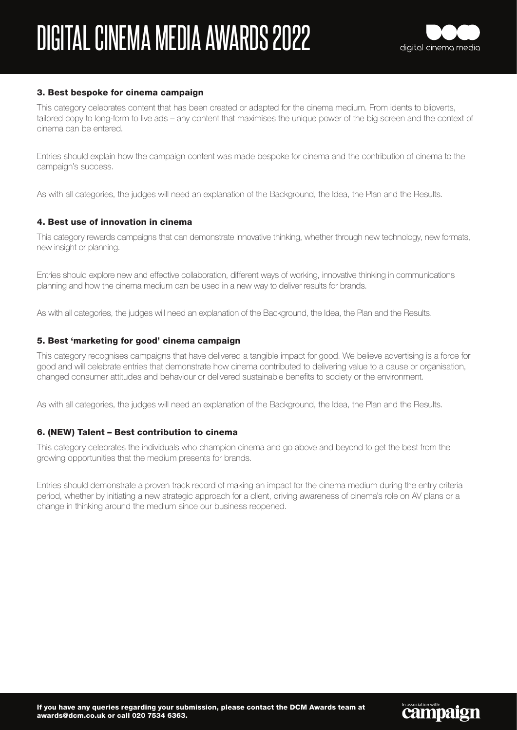

**Campaign** 

#### 3. Best bespoke for cinema campaign

This category celebrates content that has been created or adapted for the cinema medium. From idents to blipverts, tailored copy to long-form to live ads – any content that maximises the unique power of the big screen and the context of cinema can be entered.

Entries should explain how the campaign content was made bespoke for cinema and the contribution of cinema to the campaign's success.

As with all categories, the judges will need an explanation of the Background, the Idea, the Plan and the Results.

#### 4. Best use of innovation in cinema

This category rewards campaigns that can demonstrate innovative thinking, whether through new technology, new formats, new insight or planning.

Entries should explore new and effective collaboration, different ways of working, innovative thinking in communications planning and how the cinema medium can be used in a new way to deliver results for brands.

As with all categories, the judges will need an explanation of the Background, the Idea, the Plan and the Results.

#### 5. Best 'marketing for good' cinema campaign

This category recognises campaigns that have delivered a tangible impact for good. We believe advertising is a force for good and will celebrate entries that demonstrate how cinema contributed to delivering value to a cause or organisation, changed consumer attitudes and behaviour or delivered sustainable benefits to society or the environment.

As with all categories, the judges will need an explanation of the Background, the Idea, the Plan and the Results.

#### 6. (NEW) Talent – Best contribution to cinema

This category celebrates the individuals who champion cinema and go above and beyond to get the best from the growing opportunities that the medium presents for brands.

Entries should demonstrate a proven track record of making an impact for the cinema medium during the entry criteria period, whether by initiating a new strategic approach for a client, driving awareness of cinema's role on AV plans or a change in thinking around the medium since our business reopened.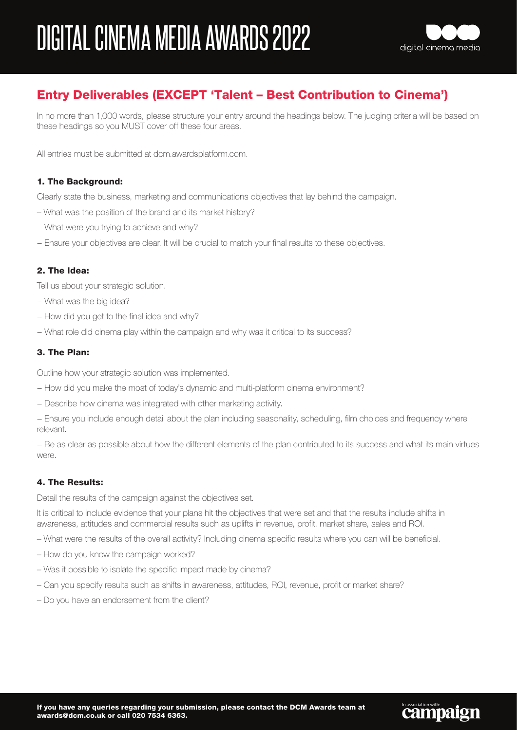

**Campaign** 

## Entry Deliverables (EXCEPT 'Talent – Best Contribution to Cinema')

In no more than 1,000 words, please structure your entry around the headings below. The judging criteria will be based on these headings so you MUST cover off these four areas.

All entries must be submitted at dcm.awardsplatform.com.

#### 1. The Background:

Clearly state the business, marketing and communications objectives that lay behind the campaign.

- What was the position of the brand and its market history?
- − What were you trying to achieve and why?
- − Ensure your objectives are clear. It will be crucial to match your final results to these objectives.

#### 2. The Idea:

Tell us about your strategic solution.

- − What was the big idea?
- − How did you get to the final idea and why?
- − What role did cinema play within the campaign and why was it critical to its success?

#### 3. The Plan:

Outline how your strategic solution was implemented.

- − How did you make the most of today's dynamic and multi-platform cinema environment?
- − Describe how cinema was integrated with other marketing activity.

− Ensure you include enough detail about the plan including seasonality, scheduling, film choices and frequency where relevant.

− Be as clear as possible about how the different elements of the plan contributed to its success and what its main virtues were.

#### 4. The Results:

Detail the results of the campaign against the objectives set.

It is critical to include evidence that your plans hit the objectives that were set and that the results include shifts in awareness, attitudes and commercial results such as uplifts in revenue, profit, market share, sales and ROI.

- What were the results of the overall activity? Including cinema specific results where you can will be beneficial.
- How do you know the campaign worked?
- Was it possible to isolate the specific impact made by cinema?
- Can you specify results such as shifts in awareness, attitudes, ROI, revenue, profit or market share?
- Do you have an endorsement from the client?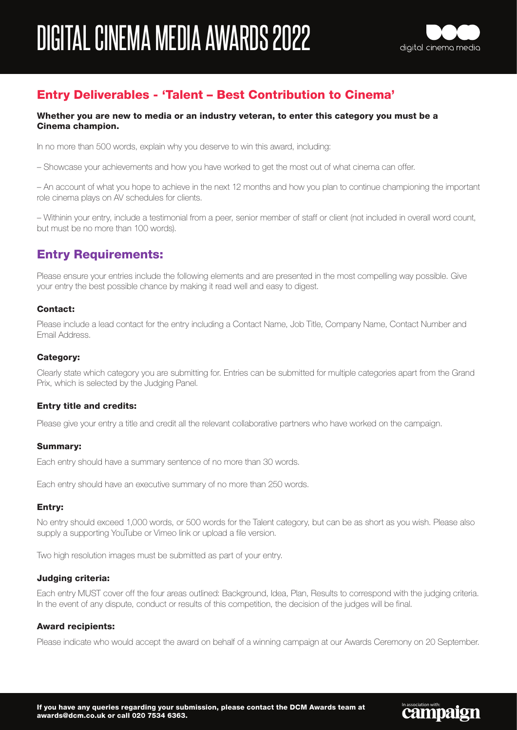

## Entry Deliverables - 'Talent – Best Contribution to Cinema'

#### Whether you are new to media or an industry veteran, to enter this category you must be a Cinema champion.

In no more than 500 words, explain why you deserve to win this award, including:

– Showcase your achievements and how you have worked to get the most out of what cinema can offer.

– An account of what you hope to achieve in the next 12 months and how you plan to continue championing the important role cinema plays on AV schedules for clients.

– Withinin your entry, include a testimonial from a peer, senior member of staff or client (not included in overall word count, but must be no more than 100 words).

## Entry Requirements:

Please ensure your entries include the following elements and are presented in the most compelling way possible. Give your entry the best possible chance by making it read well and easy to digest.

#### Contact:

Please include a lead contact for the entry including a Contact Name, Job Title, Company Name, Contact Number and Email Address.

#### Category:

Clearly state which category you are submitting for. Entries can be submitted for multiple categories apart from the Grand Prix, which is selected by the Judging Panel.

#### Entry title and credits:

Please give your entry a title and credit all the relevant collaborative partners who have worked on the campaign.

#### Summary:

Each entry should have a summary sentence of no more than 30 words.

Each entry should have an executive summary of no more than 250 words.

#### Entry:

No entry should exceed 1,000 words, or 500 words for the Talent category, but can be as short as you wish. Please also supply a supporting YouTube or Vimeo link or upload a file version.

Two high resolution images must be submitted as part of your entry.

#### Judging criteria:

Each entry MUST cover off the four areas outlined: Background, Idea, Plan, Results to correspond with the judging criteria. In the event of any dispute, conduct or results of this competition, the decision of the judges will be final.

#### Award recipients:

Please indicate who would accept the award on behalf of a winning campaign at our Awards Ceremony on 20 September.